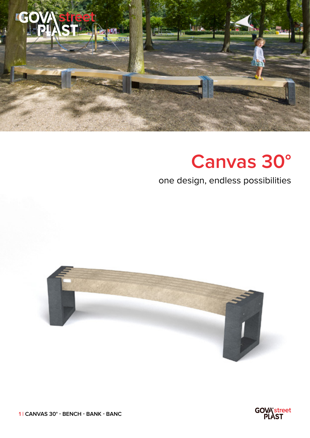

## **Canvas 30°**

## one design, endless possibilities





**1 | CANVAS 30° - BENCH - BANK - BANC**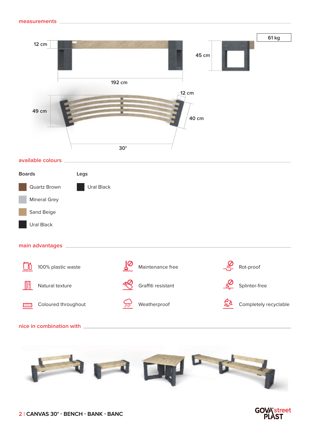